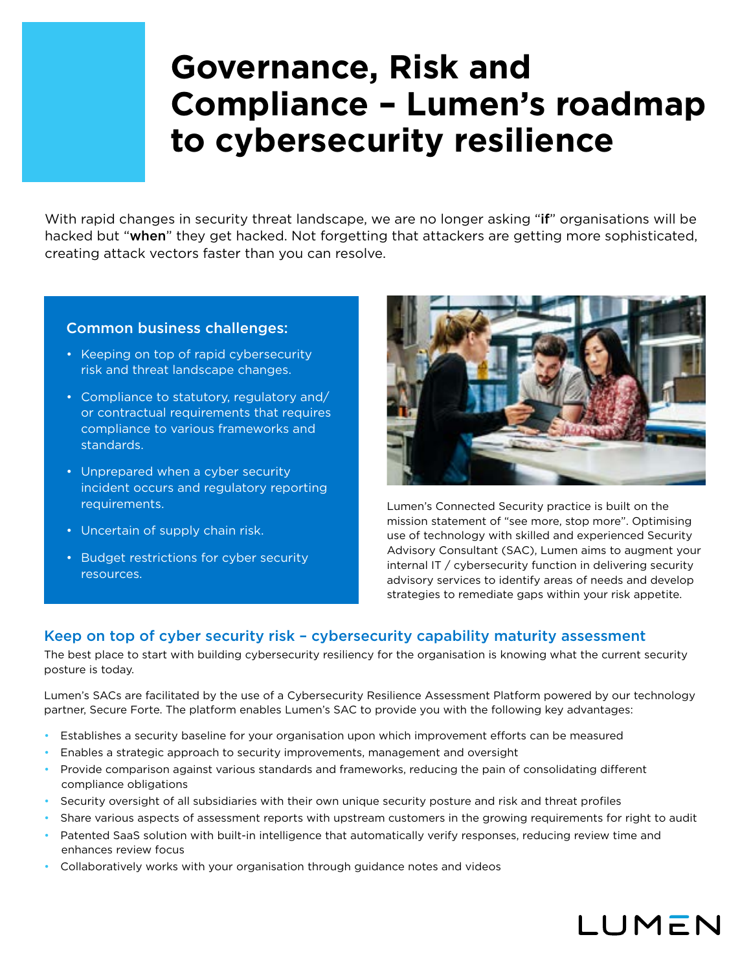# **Governance, Risk and Compliance – Lumen's roadmap to cybersecurity resilience**

With rapid changes in security threat landscape, we are no longer asking "if" organisations will be hacked but "when" they get hacked. Not forgetting that attackers are getting more sophisticated, creating attack vectors faster than you can resolve.

# Common business challenges:

- Keeping on top of rapid cybersecurity risk and threat landscape changes.
- Compliance to statutory, regulatory and/ or contractual requirements that requires compliance to various frameworks and standards.
- Unprepared when a cyber security incident occurs and regulatory reporting requirements.
- Uncertain of supply chain risk.
- Budget restrictions for cyber security resources.



Lumen's Connected Security practice is built on the mission statement of "see more, stop more". Optimising use of technology with skilled and experienced Security Advisory Consultant (SAC), Lumen aims to augment your internal IT / cybersecurity function in delivering security advisory services to identify areas of needs and develop strategies to remediate gaps within your risk appetite.

# Keep on top of cyber security risk – cybersecurity capability maturity assessment

The best place to start with building cybersecurity resiliency for the organisation is knowing what the current security posture is today.

Lumen's SACs are facilitated by the use of a Cybersecurity Resilience Assessment Platform powered by our technology partner, Secure Forte. The platform enables Lumen's SAC to provide you with the following key advantages:

- Establishes a security baseline for your organisation upon which improvement efforts can be measured
- Enables a strategic approach to security improvements, management and oversight
- Provide comparison against various standards and frameworks, reducing the pain of consolidating different compliance obligations
- Security oversight of all subsidiaries with their own unique security posture and risk and threat profiles
- Share various aspects of assessment reports with upstream customers in the growing requirements for right to audit
- Patented SaaS solution with built-in intelligence that automatically verify responses, reducing review time and enhances review focus
- Collaboratively works with your organisation through guidance notes and videos

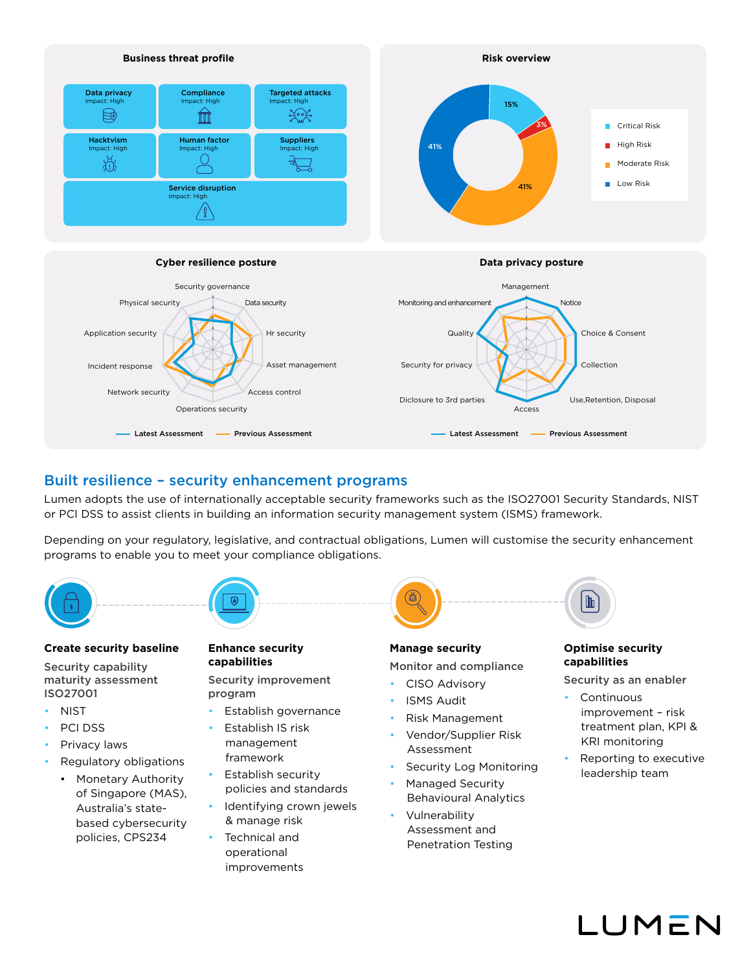

# Built resilience – security enhancement programs

Lumen adopts the use of internationally acceptable security frameworks such as the ISO27001 Security Standards, NIST or PCI DSS to assist clients in building an information security management system (ISMS) framework.

Depending on your regulatory, legislative, and contractual obligations, Lumen will customise the security enhancement programs to enable you to meet your compliance obligations.



### **Create security baseline**

Security capability maturity assessment ISO27001

- NIST
- PCI DSS
- Privacy laws
- Regulatory obligations
	- Monetary Authority of Singapore (MAS), Australia's statebased cybersecurity policies, CPS234

## **Enhance security capabilities**

Security improvement program

- Establish governance
- Establish IS risk management framework
- Establish security policies and standards • Identifying crown jewels
- & manage risk • Technical and operational improvements



# **Manage security**

Monitor and compliance

- CISO Advisory
- ISMS Audit
- Risk Management
- Vendor/Supplier Risk Assessment
- Security Log Monitoring
- Managed Security Behavioural Analytics
- Vulnerability Assessment and Penetration Testing

#### **Optimise security capabilities**

 $\mathbb{P}$ 

Security as an enabler

- Continuous improvement – risk treatment plan, KPI & KRI monitoring
- Reporting to executive leadership team

I IMFN